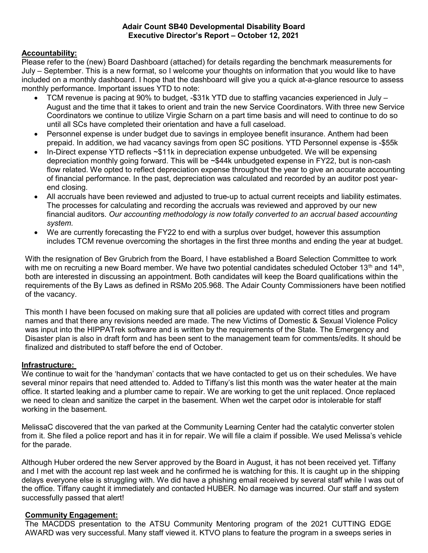#### Adair Count SB40 Developmental Disability Board Executive Director's Report – October 12, 2021

# Accountability:

Please refer to the (new) Board Dashboard (attached) for details regarding the benchmark measurements for July – September. This is a new format, so I welcome your thoughts on information that you would like to have included on a monthly dashboard. I hope that the dashboard will give you a quick at-a-glance resource to assess monthly performance. Important issues YTD to note:

- TCM revenue is pacing at 90% to budget, -\$31k YTD due to staffing vacancies experienced in July August and the time that it takes to orient and train the new Service Coordinators. With three new Service Coordinators we continue to utilize Virgie Scharn on a part time basis and will need to continue to do so until all SCs have completed their orientation and have a full caseload.
- Personnel expense is under budget due to savings in employee benefit insurance. Anthem had been prepaid. In addition, we had vacancy savings from open SC positions. YTD Personnel expense is -\$55k
- In-Direct expense YTD reflects ~\$11k in depreciation expense unbudgeted. We will be expensing depreciation monthly going forward. This will be ~\$44k unbudgeted expense in FY22, but is non-cash flow related. We opted to reflect depreciation expense throughout the year to give an accurate accounting of financial performance. In the past, depreciation was calculated and recorded by an auditor post yearend closing.
- All accruals have been reviewed and adjusted to true-up to actual current receipts and liability estimates. The processes for calculating and recording the accruals was reviewed and approved by our new financial auditors. Our accounting methodology is now totally converted to an accrual based accounting system.
- We are currently forecasting the FY22 to end with a surplus over budget, however this assumption includes TCM revenue overcoming the shortages in the first three months and ending the year at budget.

With the resignation of Bev Grubrich from the Board, I have established a Board Selection Committee to work with me on recruiting a new Board member. We have two potential candidates scheduled October 13<sup>th</sup> and 14<sup>th</sup>, both are interested in discussing an appointment. Both candidates will keep the Board qualifications within the requirements of the By Laws as defined in RSMo 205.968. The Adair County Commissioners have been notified of the vacancy.

This month I have been focused on making sure that all policies are updated with correct titles and program names and that there any revisions needed are made. The new Victims of Domestic & Sexual Violence Policy was input into the HIPPATrek software and is written by the requirements of the State. The Emergency and Disaster plan is also in draft form and has been sent to the management team for comments/edits. It should be finalized and distributed to staff before the end of October.

## Infrastructure:

We continue to wait for the 'handyman' contacts that we have contacted to get us on their schedules. We have several minor repairs that need attended to. Added to Tiffany's list this month was the water heater at the main office. It started leaking and a plumber came to repair. We are working to get the unit replaced. Once replaced we need to clean and sanitize the carpet in the basement. When wet the carpet odor is intolerable for staff working in the basement.

MelissaC discovered that the van parked at the Community Learning Center had the catalytic converter stolen from it. She filed a police report and has it in for repair. We will file a claim if possible. We used Melissa's vehicle for the parade.

Although Huber ordered the new Server approved by the Board in August, it has not been received yet. Tiffany and I met with the account rep last week and he confirmed he is watching for this. It is caught up in the shipping delays everyone else is struggling with. We did have a phishing email received by several staff while I was out of the office. Tiffany caught it immediately and contacted HUBER. No damage was incurred. Our staff and system successfully passed that alert!

## Community Engagement:

The MACDDS presentation to the ATSU Community Mentoring program of the 2021 CUTTING EDGE AWARD was very successful. Many staff viewed it. KTVO plans to feature the program in a sweeps series in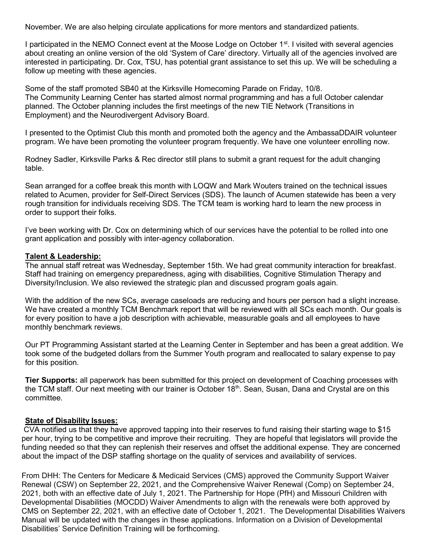November. We are also helping circulate applications for more mentors and standardized patients.

I participated in the NEMO Connect event at the Moose Lodge on October 1<sup>st</sup>. I visited with several agencies about creating an online version of the old 'System of Care' directory. Virtually all of the agencies involved are interested in participating. Dr. Cox, TSU, has potential grant assistance to set this up. We will be scheduling a follow up meeting with these agencies.

Some of the staff promoted SB40 at the Kirksville Homecoming Parade on Friday, 10/8. The Community Learning Center has started almost normal programming and has a full October calendar planned. The October planning includes the first meetings of the new TIE Network (Transitions in Employment) and the Neurodivergent Advisory Board.

I presented to the Optimist Club this month and promoted both the agency and the AmbassaDDAIR volunteer program. We have been promoting the volunteer program frequently. We have one volunteer enrolling now.

Rodney Sadler, Kirksville Parks & Rec director still plans to submit a grant request for the adult changing table.

Sean arranged for a coffee break this month with LOQW and Mark Wouters trained on the technical issues related to Acumen, provider for Self-Direct Services (SDS). The launch of Acumen statewide has been a very rough transition for individuals receiving SDS. The TCM team is working hard to learn the new process in order to support their folks.

I've been working with Dr. Cox on determining which of our services have the potential to be rolled into one grant application and possibly with inter-agency collaboration.

#### Talent & Leadership:

The annual staff retreat was Wednesday, September 15th. We had great community interaction for breakfast. Staff had training on emergency preparedness, aging with disabilities, Cognitive Stimulation Therapy and Diversity/Inclusion. We also reviewed the strategic plan and discussed program goals again.

With the addition of the new SCs, average caseloads are reducing and hours per person had a slight increase. We have created a monthly TCM Benchmark report that will be reviewed with all SCs each month. Our goals is for every position to have a job description with achievable, measurable goals and all employees to have monthly benchmark reviews.

Our PT Programming Assistant started at the Learning Center in September and has been a great addition. We took some of the budgeted dollars from the Summer Youth program and reallocated to salary expense to pay for this position.

Tier Supports: all paperwork has been submitted for this project on development of Coaching processes with the TCM staff. Our next meeting with our trainer is October 18<sup>th</sup>. Sean, Susan, Dana and Crystal are on this committee.

## State of Disability Issues:

 CVA notified us that they have approved tapping into their reserves to fund raising their starting wage to \$15 per hour, trying to be competitive and improve their recruiting. They are hopeful that legislators will provide the funding needed so that they can replenish their reserves and offset the additional expense. They are concerned about the impact of the DSP staffing shortage on the quality of services and availability of services.

From DHH: The Centers for Medicare & Medicaid Services (CMS) approved the Community Support Waiver Renewal (CSW) on September 22, 2021, and the Comprehensive Waiver Renewal (Comp) on September 24, 2021, both with an effective date of July 1, 2021. The Partnership for Hope (PfH) and Missouri Children with Developmental Disabilities (MOCDD) Waiver Amendments to align with the renewals were both approved by CMS on September 22, 2021, with an effective date of October 1, 2021. The Developmental Disabilities Waivers Manual will be updated with the changes in these applications. Information on a Division of Developmental Disabilities' Service Definition Training will be forthcoming.